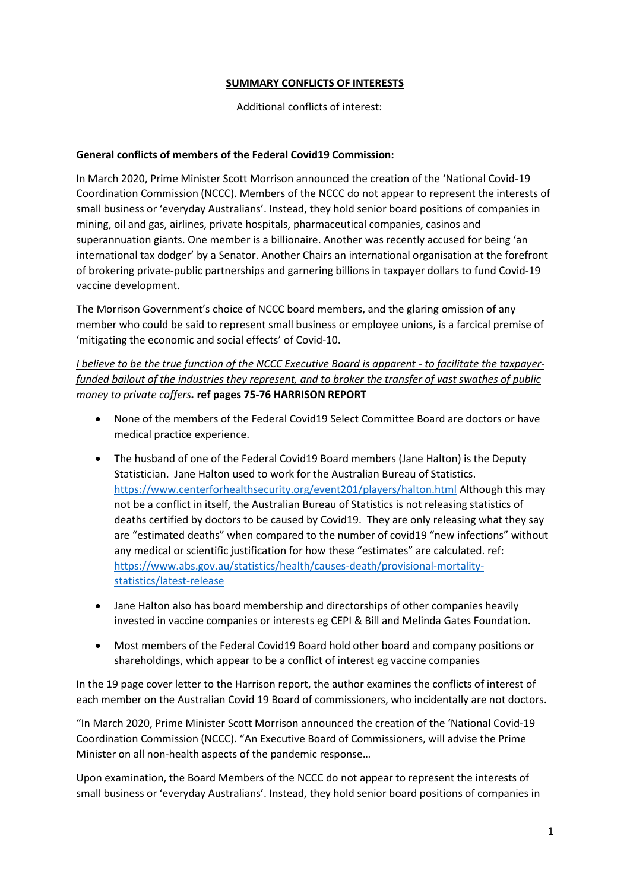# **SUMMARY CONFLICTS OF INTERESTS**

# Additional conflicts of interest:

# **General conflicts of members of the Federal Covid19 Commission:**

In March 2020, Prime Minister Scott Morrison announced the creation of the 'National Covid-19 Coordination Commission (NCCC). Members of the NCCC do not appear to represent the interests of small business or 'everyday Australians'. Instead, they hold senior board positions of companies in mining, oil and gas, airlines, private hospitals, pharmaceutical companies, casinos and superannuation giants. One member is a billionaire. Another was recently accused for being 'an international tax dodger' by a Senator. Another Chairs an international organisation at the forefront of brokering private-public partnerships and garnering billions in taxpayer dollars to fund Covid-19 vaccine development.

The Morrison Government's choice of NCCC board members, and the glaring omission of any member who could be said to represent small business or employee unions, is a farcical premise of 'mitigating the economic and social effects' of Covid-10.

*I believe to be the true function of the NCCC Executive Board is apparent - to facilitate the taxpayerfunded bailout of the industries they represent, and to broker the transfer of vast swathes of public money to private coffers.* **ref pages 75-76 HARRISON REPORT**

- None of the members of the Federal Covid19 Select Committee Board are doctors or have medical practice experience.
- The husband of one of the Federal Covid19 Board members (Jane Halton) is the Deputy Statistician. Jane Halton used to work for the Australian Bureau of Statistics. <https://www.centerforhealthsecurity.org/event201/players/halton.html> Although this may not be a conflict in itself, the Australian Bureau of Statistics is not releasing statistics of deaths certified by doctors to be caused by Covid19. They are only releasing what they say are "estimated deaths" when compared to the number of covid19 "new infections" without any medical or scientific justification for how these "estimates" are calculated. ref: [https://www.abs.gov.au/statistics/health/causes-death/provisional-mortality](https://www.abs.gov.au/statistics/health/causes-death/provisional-mortality-statistics/latest-release)[statistics/latest-release](https://www.abs.gov.au/statistics/health/causes-death/provisional-mortality-statistics/latest-release)
- Jane Halton also has board membership and directorships of other companies heavily invested in vaccine companies or interests eg CEPI & Bill and Melinda Gates Foundation.
- Most members of the Federal Covid19 Board hold other board and company positions or shareholdings, which appear to be a conflict of interest eg vaccine companies

In the 19 page cover letter to the Harrison report, the author examines the conflicts of interest of each member on the Australian Covid 19 Board of commissioners, who incidentally are not doctors.

"In March 2020, Prime Minister Scott Morrison announced the creation of the 'National Covid-19 Coordination Commission (NCCC). "An Executive Board of Commissioners, will advise the Prime Minister on all non-health aspects of the pandemic response…

Upon examination, the Board Members of the NCCC do not appear to represent the interests of small business or 'everyday Australians'. Instead, they hold senior board positions of companies in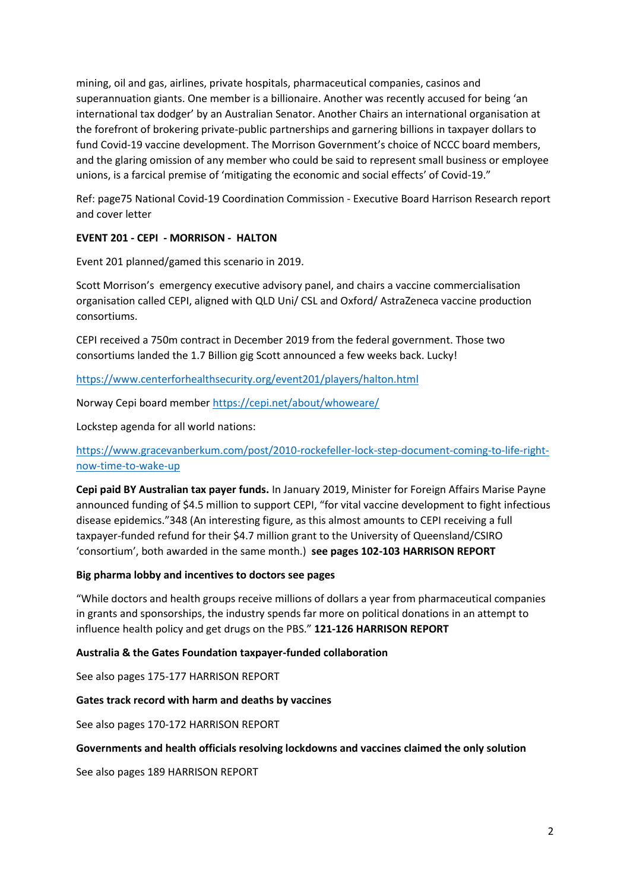mining, oil and gas, airlines, private hospitals, pharmaceutical companies, casinos and superannuation giants. One member is a billionaire. Another was recently accused for being 'an international tax dodger' by an Australian Senator. Another Chairs an international organisation at the forefront of brokering private-public partnerships and garnering billions in taxpayer dollars to fund Covid-19 vaccine development. The Morrison Government's choice of NCCC board members, and the glaring omission of any member who could be said to represent small business or employee unions, is a farcical premise of 'mitigating the economic and social effects' of Covid-19."

Ref: page75 National Covid-19 Coordination Commission - Executive Board Harrison Research report and cover letter

# **EVENT 201 - CEPI - MORRISON - HALTON**

Event 201 planned/gamed this scenario in 2019.

Scott Morrison's emergency executive advisory panel, and chairs a vaccine commercialisation organisation called CEPI, aligned with QLD Uni/ CSL and Oxford/ AstraZeneca vaccine production consortiums.

CEPI received a 750m contract in December 2019 from the federal government. Those two consortiums landed the 1.7 Billion gig Scott announced a few weeks back. Lucky!

<https://www.centerforhealthsecurity.org/event201/players/halton.html>

Norway Cepi board member<https://cepi.net/about/whoweare/>

Lockstep agenda for all world nations:

# [https://www.gracevanberkum.com/post/2010-rockefeller-lock-step-document-coming-to-life-right](https://www.gracevanberkum.com/post/2010-rockefeller-lock-step-document-coming-to-life-right-now-time-to-wake-up)[now-time-to-wake-up](https://www.gracevanberkum.com/post/2010-rockefeller-lock-step-document-coming-to-life-right-now-time-to-wake-up)

**Cepi paid BY Australian tax payer funds.** In January 2019, Minister for Foreign Affairs Marise Payne announced funding of \$4.5 million to support CEPI, "for vital vaccine development to fight infectious disease epidemics."348 (An interesting figure, as this almost amounts to CEPI receiving a full taxpayer-funded refund for their \$4.7 million grant to the University of Queensland/CSIRO 'consortium', both awarded in the same month.) **see pages 102-103 HARRISON REPORT**

#### **Big pharma lobby and incentives to doctors see pages**

"While doctors and health groups receive millions of dollars a year from pharmaceutical companies in grants and sponsorships, the industry spends far more on political donations in an attempt to influence health policy and get drugs on the PBS." **121-126 HARRISON REPORT**

#### **Australia & the Gates Foundation taxpayer-funded collaboration**

See also pages 175-177 HARRISON REPORT

#### **Gates track record with harm and deaths by vaccines**

See also pages 170-172 HARRISON REPORT

#### **Governments and health officials resolving lockdowns and vaccines claimed the only solution**

See also pages 189 HARRISON REPORT